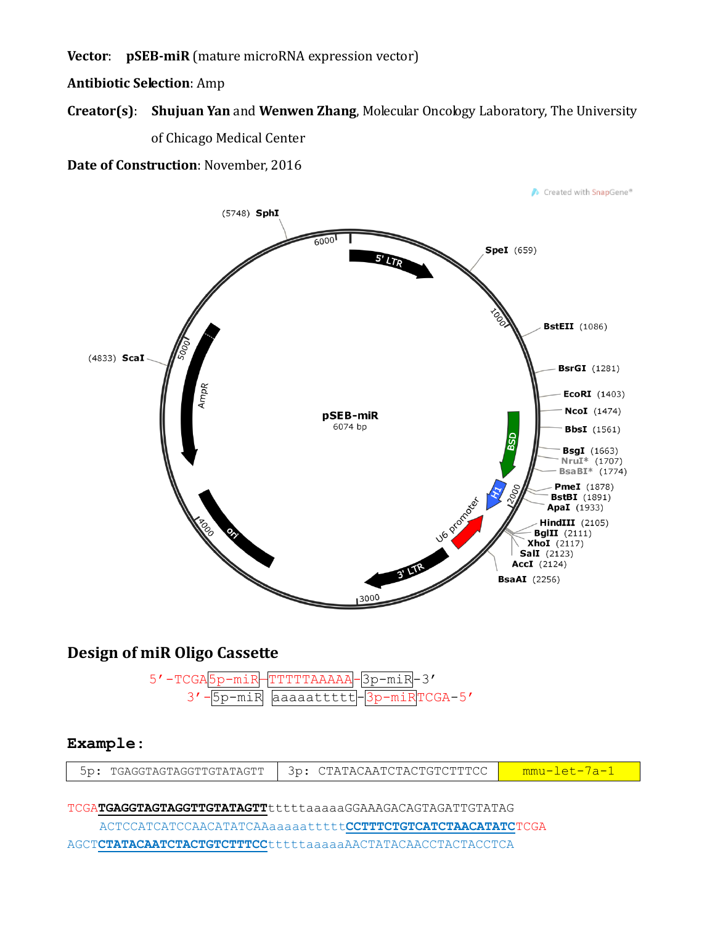Vector: pSEB-miR (mature microRNA expression vector)

**Antibiotic Selection: Amp** 

## Creator(s): Shujuan Yan and Wenwen Zhang, Molecular Oncology Laboratory, The University of Chicago Medical Center

Date of Construction: November, 2016



## **Design of miR Oligo Cassette**

 $5'$  -TCGA! 5p-miR TTTTTAAAAA 3p-miR<mark>-3'</mark>  $-5p$ -mi $\overline{R}$  $3'$ .  $TCGA-5'$ aaaaattttt 3p-miR

## Example:

| 3p:<br>TGAGGTAGTAGGTTGTATAGTT<br>. CTATACAATCTACTGTCTTTCC |
|-----------------------------------------------------------|
|-----------------------------------------------------------|

TCGATGAGGTAGTAGGTTGTATAGTTtttttaaaaaGGAAAGACAGTAGATTGTATAG

ACTCCATCATCCAACATATCAAaaaaattttt**cCTTTCTGTCATCTAACATATCT**CGA AGCTCTATACAATCTACTGTCTTTCCtttttaaaaaAACTATACAACCTACTACCTCA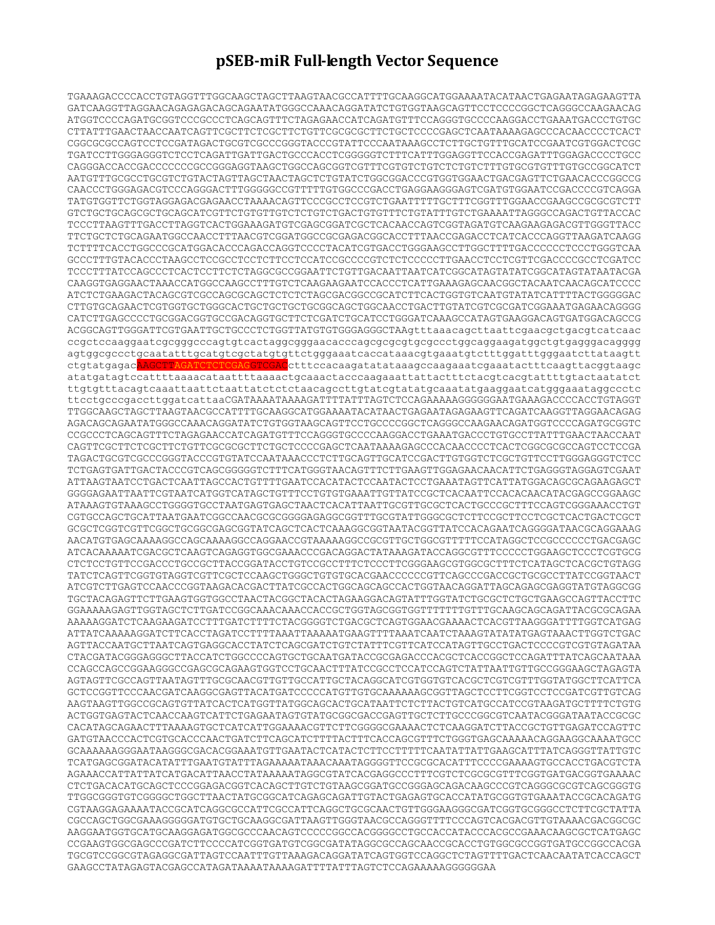## **pSEB-miR Full-length Vector Sequence**

TGAAAGACCCCACCTGTAGGTTTGGCAAGCTAGCTTAAGTAACGCCATTTTGCAAGGCATGGAAAATACATAACTGAGAATAGAGAAGTTA GATCAAGGTTAGGAACAGAGAGACAGCAGAATATGGGCCAAACAGGATATCTGTGGTAAGCAGTTCCTCCCCGGCTCAGGGCCAAGAACAG ATGGTCCCCAGATGCGGTCCCGCCCTCAGCAGTTTCTAGAGAACCATCAGATGTTTCCAGGGTGCCCCAAGGACCTGAAATGACCCTGTGC CTTATTTGAACTAACCAATCAGTTCGCTTCTCGCTTCTGTTCGCGCGCTTCTGCTCCCCGAGCTCAATAAAAGAGCCCACAACCCCTCACT CGGCGCGCCAGTCCTCCGATAGACTGCGTCGCCCGGGTACCCGTATTCCCAATAAAGCCTCTTGCTGTTTGCATCCGAATCGTGGACTCGC TGATCCTTGGGAGGGTCTCCTCAGATTGATTGACTGCCCACCTCGGGGGTCTTTCATTTGGAGGTTCCACCGAGATTTGGAGACCCCTGCC CAGGGACCACCGACCCCCCCGCCGGGAGGTAAGCTGGCCAGCGGTCGTTTCGTGTCTGTCTCTGTCTTTGTGCGTGTTTGTGCCGGCATCT AATGTTTGCGCCTGCGTCTGTACTAGTTAGCTAACTAGCTCTGTATCTGGCGGACCCGTGGTGGAACTGACGAGTTCTGAACACCCGGCCG CAACCCTGGGAGACGTCCCAGGGACTTTGGGGGCCGTTTTTGTGGCCCGACCTGAGGAAGGGAGTCGATGTGGAATCCGACCCCGTCAGGA TATGTGGTTCTGGTAGGAGACGAGAACCTAAAACAGTTCCCGCCTCCGTCTGAATTTTTGCTTTCGGTTTGGAACCGAAGCCGCGCGTCTT GTCTGCTGCAGCGCTGCAGCATCGTTCTGTGTTGTCTCTGTCTGACTGTGTTTCTGTATTTGTCTGAAAATTAGGGCCAGACTGTTACCAC TCCCTTAAGTTTGACCTTAGGTCACTGGAAAGATGTCGAGCGGATCGCTCACAACCAGTCGGTAGATGTCAAGAAGAGACGTTGGGTTACC TTCTGCTCTGCAGAATGGCCAACCTTTAACGTCGGATGGCCGCGAGACGGCACCTTTAACCGAGACCTCATCACCCAGGTTAAGATCAAGG TCTTTTCACCTGGCCCGCATGGACACCCAGACCAGGTCCCCTACATCGTGACCTGGGAAGCCTTGGCTTTTGACCCCCCTCCCTGGGTCAA GCCCTTTGTACACCCTAAGCCTCCGCCTCCTCTTCCTCCATCCGCCCCGTCTCTCCCCCTTGAACCTCCTCGTTCGACCCCGCCTCGATCC TCCCTTTATCCAGCCCTCACTCCTTCTCTAGGCGCCGGAATTCTGTTGACAATTAATCATCGGCATAGTATATCGGCATAGTATAATACGA CAAGGTGAGGAACTAAACCATGGCCAAGCCTTTGTCTCAAGAAGAATCCACCCTCATTGAAAGAGCAACGGCTACAATCAACAGCATCCCC ATCTCTGAAGACTACAGCGTCGCCAGCGCAGCTCTCTCTAGCGACGGCCGCATCTTCACTGGTGTCAATGTATATCATTTTACTGGGGGAC CTTGTGCAGAACTCGTGGTGCTGGGCACTGCTGCTGCTGCGGCAGCTGGCAACCTGACTTGTATCGTCGCGATCGGAAATGAGAACAGGGG CATCTTGAGCCCCTGCGGACGGTGCCGACAGGTGCTTCTCGATCTGCATCCTGGGATCAAAGCCATAGTGAAGGACAGTGATGGACAGCCG ACGGCAGTTGGGATTCGTGAATTGCTGCCCTCTGGTTATGTGTGGGAGGGCTAAgtttaaacagcttaattcgaacgctgacgtcatcaac ccgctccaaggaatcgcgggcccagtgtcactaggcgggaacacccagcgcgcgtgcgccctggcaggaagatggctgtgagggacagggg agtggcgccctgcaatatttgcatgtcgctatgtgttctgggaaatcaccataaacgtgaaatgtctttggatttgggaatcttataagtt ctgtatgagacAAGCTTAGATCTCTCGAGGTCGACctttccacaagatatataaagccaagaaatcgaaatactttcaagttacggtaagc atatgatagtccattttaaaacataattttaaaactgcaaactacccaagaaattattactttctacgtcacgtattttgtactaatatct ttgtgtttacagtcaaattaattctaattatctctctaacagccttgtatcgtatatgcaaatatgaaggaatcatgggaaataggccctc ttcctgcccgaccttggatcattaaCGATAAAATAAAAGATTTTATTTAGTCTCCAGAAAAAGGGGGGAATGAAAGACCCCACCTGTAGGT TTGGCAAGCTAGCTTAAGTAACGCCATTTTGCAAGGCATGGAAAATACATAACTGAGAATAGAGAAGTTCAGATCAAGGTTAGGAACAGAG AGACAGCAGAATATGGGCCAAACAGGATATCTGTGGTAAGCAGTTCCTGCCCCGGCTCAGGGCCAAGAACAGATGGTCCCCAGATGCGGTC CCGCCCTCAGCAGTTTCTAGAGAACCATCAGATGTTTCCAGGGTGCCCCAAGGACCTGAAATGACCCTGTGCCTTATTTGAACTAACCAAT CAGTTCGCTTCTCGCTTCTGTTCGCGCGCTTCTGCTCCCCGAGCTCAATAAAAGAGCCCACAACCCCTCACTCGGCGCGCCAGTCCTCCGA TAGACTGCGTCGCCCGGGTACCCGTGTATCCAATAAACCCTCTTGCAGTTGCATCCGACTTGTGGTCTCGCTGTTCCTTGGGAGGGTCTCC TCTGAGTGATTGACTACCCGTCAGCGGGGGTCTTTCATGGGTAACAGTTTCTTGAAGTTGGAGAACAACATTCTGAGGGTAGGAGTCGAAT ATTAAGTAATCCTGACTCAATTAGCCACTGTTTTGAATCCACATACTCCAATACTCCTGAAATAGTTCATTATGGACAGCGCAGAAGAGCT GGGGAGAATTAATTCGTAATCATGGTCATAGCTGTTTCCTGTGTGAAATTGTTATCCGCTCACAATTCCACACAACATACGAGCCGGAAGC ATAAAGTGTAAAGCCTGGGGTGCCTAATGAGTGAGCTAACTCACATTAATTGCGTTGCGCTCACTGCCCGCTTTCCAGTCGGGAAACCTGT CGTGCCAGCTGCATTAATGAATCGGCCAACGCGCGGGGAGAGGCGGTTTGCGTATTGGGCGCTCTTCCGCTTCCTCGCTCACTGACTCGCT GCGCTCGGTCGTTCGGCTGCGGCGAGCGGTATCAGCTCACTCAAAGGCGGTAATACGGTTATCCACAGAATCAGGGGATAACGCAGGAAAG AACATGTGAGCAAAAGGCCAGCAAAAGGCCAGGAACCGTAAAAAGGCCGCGTTGCTGGCGTTTTTCCATAGGCTCCGCCCCCCTGACGAGC ATCACAAAAATCGACGCTCAAGTCAGAGGTGGCGAAACCCGACAGGACTATAAAGATACCAGGCGTTTCCCCCTGGAAGCTCCCTCGTGCG CTCTCCTGTTCCGACCCTGCCGCTTACCGGATACCTGTCCGCCTTTCTCCCTTCGGGAAGCGTGGCGCTTTCTCATAGCTCACGCTGTAGG TATCTCAGTTCGGTGTAGGTCGTTCGCTCCAAGCTGGGCTGTGTGCACGAACCCCCCGTTCAGCCCGACCGCTGCGCCTTATCCGGTAACT ATCGTCTTGAGTCCAACCCGGTAAGACACGACTTATCGCCACTGGCAGCAGCCACTGGTAACAGGATTAGCAGAGCGAGGTATGTAGGCGG TGCTACAGAGTTCTTGAAGTGGTGGCCTAACTACGGCTACACTAGAAGGACAGTATTTGGTATCTGCGCTCTGCTGAAGCCAGTTACCTTC GGAAAAAGAGTTGGTAGCTCTTGATCCGGCAAACAAACCACCGCTGGTAGCGGTGGTTTTTTTGTTTGCAAGCAGCAGATTACGCGCAGAA AAAAAGGATCTCAAGAAGATCCTTTGATCTTTTCTACGGGGTCTGACGCTCAGTGGAACGAAAACTCACGTTAAGGGATTTTGGTCATGAG ATTATCAAAAAGGATCTTCACCTAGATCCTTTTAAATTAAAAATGAAGTTTTAAATCAATCTAAAGTATATATGAGTAAACTTGGTCTGAC AGTTACCAATGCTTAATCAGTGAGGCACCTATCTCAGCGATCTGTCTATTTCGTTCATCCATAGTTGCCTGACTCCCCGTCGTGTAGATAA CTACGATACGGGAGGGCTTACCATCTGGCCCCAGTGCTGCAATGATACCGCGAGACCCACGCTCACCGGCTCCAGATTTATCAGCAATAAA CCAGCCAGCCGGAAGGGCCGAGCGCAGAAGTGGTCCTGCAACTTTATCCGCCTCCATCCAGTCTATTAATTGTTGCCGGGAAGCTAGAGTA AGTAGTTCGCCAGTTAATAGTTTGCGCAACGTTGTTGCCATTGCTACAGGCATCGTGGTGTCACGCTCGTCGTTTGGTATGGCTTCATTCA GCTCCGGTTCCCAACGATCAAGGCGAGTTACATGATCCCCCATGTTGTGCAAAAAAGCGGTTAGCTCCTTCGGTCCTCCGATCGTTGTCAG AAGTAAGTTGGCCGCAGTGTTATCACTCATGGTTATGGCAGCACTGCATAATTCTCTTACTGTCATGCCATCCGTAAGATGCTTTTCTGTG ACTGGTGAGTACTCAACCAAGTCATTCTGAGAATAGTGTATGCGGCGACCGAGTTGCTCTTGCCCGGCGTCAATACGGGATAATACCGCGC CACATAGCAGAACTTTAAAAGTGCTCATCATTGGAAAACGTTCTTCGGGGCGAAAACTCTCAAGGATCTTACCGCTGTTGAGATCCAGTTC GATGTAACCCACTCGTGCACCCAACTGATCTTCAGCATCTTTTACTTTCACCAGCGTTTCTGGGTGAGCAAAAACAGGAAGGCAAAATGCC GCAAAAAAGGGAATAAGGGCGACACGGAAATGTTGAATACTCATACTCTTCCTTTTTCAATATTATTGAAGCATTTATCAGGGTTATTGTC TCATGAGCGGATACATATTTGAATGTATTTAGAAAAATAAACAAATAGGGGTTCCGCGCACATTTCCCCGAAAAGTGCCACCTGACGTCTA AGAAACCATTATTATCATGACATTAACCTATAAAAATAGGCGTATCACGAGGCCCTTTCGTCTCGCGCGTTTCGGTGATGACGGTGAAAAC CTCTGACACATGCAGCTCCCGGAGACGGTCACAGCTTGTCTGTAAGCGGATGCCGGGAGCAGACAAGCCCGTCAGGGCGCGTCAGCGGGTG TTGGCGGGTGTCGGGGCTGGCTTAACTATGCGGCATCAGAGCAGATTGTACTGAGAGTGCACCATATGCGGTGTGAAATACCGCACAGATG CGTAAGGAGAAAATACCGCATCAGGCGCCATTCGCCATTCAGGCTGCGCAACTGTTGGGAAGGGCGATCGGTGCGGGCCTCTTCGCTATTA CGCCAGCTGGCGAAAGGGGGATGTGCTGCAAGGCGATTAAGTTGGGTAACGCCAGGGTTTTCCCAGTCACGACGTTGTAAAACGACGGCGC AAGGAATGGTGCATGCAAGGAGATGGCGCCCAACAGTCCCCCGGCCACGGGGCCTGCCACCATACCCACGCCGAAACAAGCGCTCATGAGC CCGAAGTGGCGAGCCCGATCTTCCCCATCGGTGATGTCGGCGATATAGGCGCCAGCAACCGCACCTGTGGCGCCGGTGATGCCGGCCACGA TGCGTCCGGCGTAGAGGCGATTAGTCCAATTTGTTAAAGACAGGATATCAGTGGTCCAGGCTCTAGTTTTGACTCAACAATATCACCAGCT GAAGCCTATAGAGTACGAGCCATAGATAAAATAAAAGATTTTATTTAGTCTCCAGAAAAAGGGGGGAA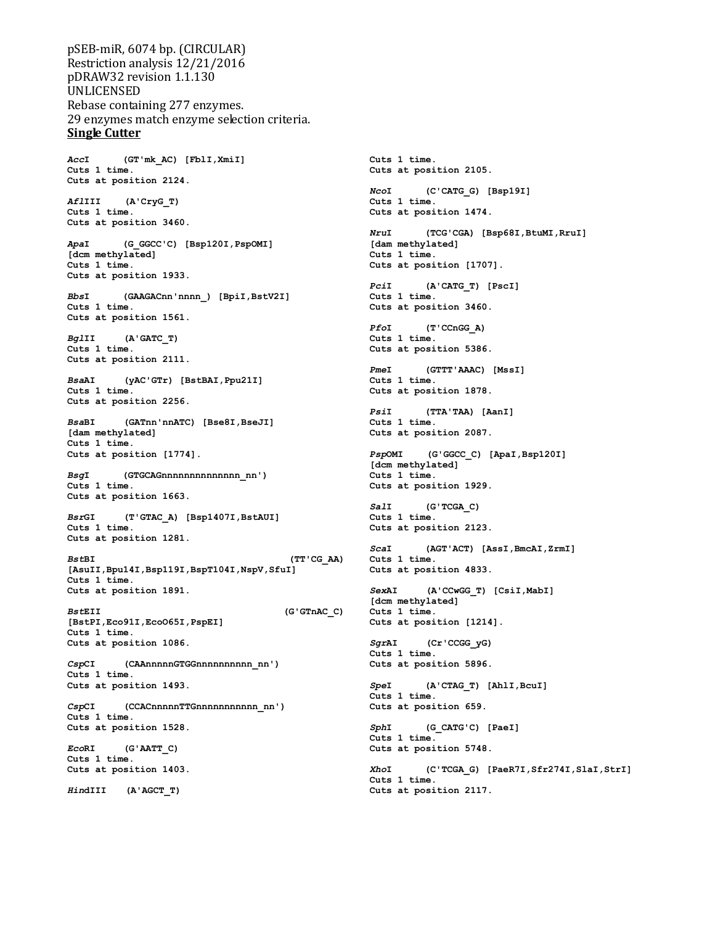pSEB-miR, 6074 bp. (CIRCULAR) Restriction analysis 12/21/2016 pDRAW32 revision 1.1.130 UNLICENSED Rebase containing 277 enzymes. 29 enzymes match enzyme selection criteria. **Single Cutter**

*Acc***I (GT'mk\_AC) [FblI,XmiI] Cuts 1 time. Cuts at position 2124.** *Afl***III (A'CryG\_T) Cuts 1 time. Cuts at position 3460.** *Apa***I (G\_GGCC'C) [Bsp120I,PspOMI] [dcm methylated] Cuts 1 time. Cuts at position 1933.** *Bbs***I (GAAGACnn'nnnn\_) [BpiI,BstV2I] Cuts 1 time. Cuts at position 1561.** *Bgl***II (A'GATC\_T) Cuts 1 time. Cuts at position 2111.** *Bsa***AI (yAC'GTr) [BstBAI,Ppu21I] Cuts 1 time. Cuts at position 2256.** *Bsa***BI (GATnn'nnATC) [Bse8I,BseJI] [dam methylated] Cuts 1 time. Cuts at position [1774].** *Bsg***I (GTGCAGnnnnnnnnnnnnnn\_nn') Cuts 1 time. Cuts at position 1663.** *Bsr***GI (T'GTAC\_A) [Bsp1407I,BstAUI] Cuts 1 time. Cuts at position 1281.** *Bst***BI (TT'CG\_AA) [AsuII,Bpu14I,Bsp119I,BspT104I,NspV,SfuI] Cuts 1 time. Cuts at position 1891.** *Bst***EII (G'GTnAC\_C) [BstPI,Eco91I,EcoO65I,PspEI] Cuts 1 time. Cuts at position 1086.** *Csp***CI (CAAnnnnnGTGGnnnnnnnnnn\_nn') Cuts 1 time. Cuts at position 1493.** *Csp***CI (CCACnnnnnTTGnnnnnnnnnnn\_nn') Cuts 1 time. Cuts at position 1528.** *Eco***RI (G'AATT\_C) Cuts 1 time. Cuts at position 1403.**

*Hin***dIII (A'AGCT\_T)**

**Cuts 1 time. Cuts at position 2105.** *Nco***I (C'CATG\_G) [Bsp19I] Cuts 1 time. Cuts at position 1474.** *Nru***I (TCG'CGA) [Bsp68I,BtuMI,RruI] [dam methylated] Cuts 1 time. Cuts at position [1707].** *Pci***I (A'CATG\_T) [PscI] Cuts 1 time. Cuts at position 3460.** *Pfo***I (T'CCnGG\_A) Cuts 1 time. Cuts at position 5386.** *Pme***I (GTTT'AAAC) [MssI] Cuts 1 time. Cuts at position 1878.** *Psi***I (TTA'TAA) [AanI] Cuts 1 time. Cuts at position 2087.** *Psp***OMI (G'GGCC\_C) [ApaI,Bsp120I] [dcm methylated] Cuts 1 time. Cuts at position 1929.** *Sal***I (G'TCGA\_C) Cuts 1 time. Cuts at position 2123.** *Sca***I (AGT'ACT) [AssI,BmcAI,ZrmI] Cuts 1 time. Cuts at position 4833.** *Sex***AI (A'CCwGG\_T) [CsiI,MabI] [dcm methylated] Cuts 1 time. Cuts at position [1214].** *Sgr***AI (Cr'CCGG\_yG) Cuts 1 time. Cuts at position 5896.** *Spe***I (A'CTAG\_T) [AhlI,BcuI] Cuts 1 time. Cuts at position 659.** *Sph***I (G\_CATG'C) [PaeI] Cuts 1 time. Cuts at position 5748.** *Xho***I (C'TCGA\_G) [PaeR7I,Sfr274I,SlaI,StrI]**

**Cuts 1 time. Cuts at position 2117.**